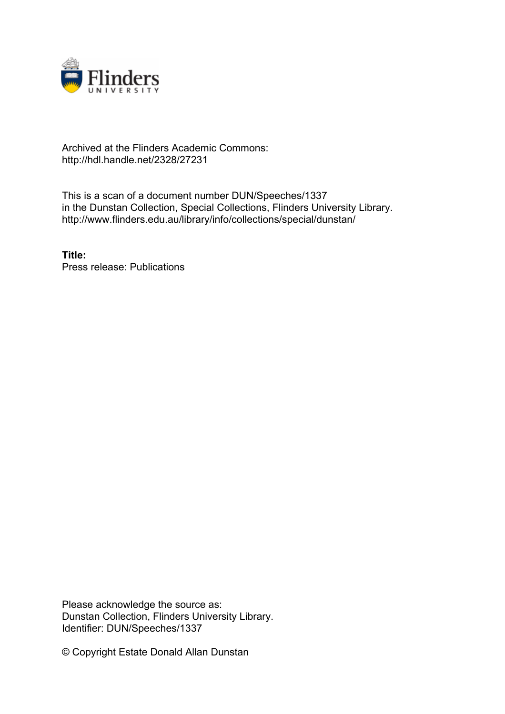

## Archived at the Flinders Academic Commons: http://hdl.handle.net/2328/27231

This is a scan of a document number DUN/Speeches/1337 in the Dunstan Collection, Special Collections, Flinders University Library. http://www.flinders.edu.au/library/info/collections/special/dunstan/

**Title:** Press release: Publications

Please acknowledge the source as: Dunstan Collection, Flinders University Library. Identifier: DUN/Speeches/1337

© Copyright Estate Donald Allan Dunstan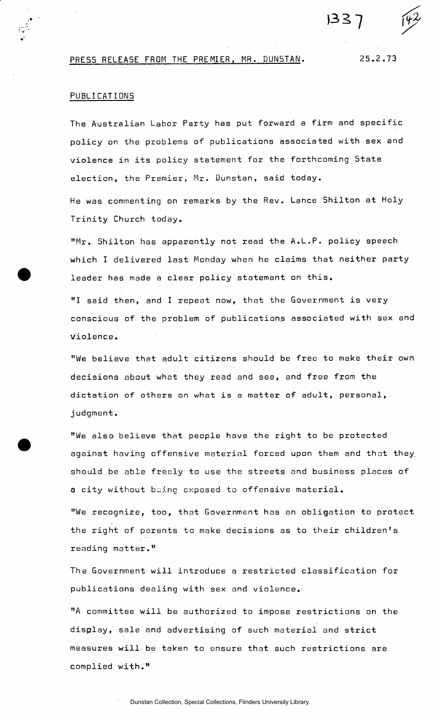## PRESS RELEASE FROM THE PREMIER, MR. DUNSTAN. 25.2.73

## PUBLICATIONS

The Australian Labor Party has put forward a firm and specific policy on the problems of publications associated with sex and violence in its policy statement for the forthcoming State election, the Premier, Mr. Dunstan, said today. He was commenting on remarks by the Rev. Lance Shilton at Holy

 $33$ 

Trinity Church today.

"Mr. Shilton has apparently not read the A.L.P. policy speech which I delivered last Monday when he claims that neither party leader has made a clear policy statement on this.

"I said then, and I repeat now, that the Government is very conscious of the problem of publications associated with sex and violence.

"We believe that adult citizens should be free to make their own decisions about what they read and see, and free from the dictation of others on what is a matter of adult, personal, j udgment.

"We also believe that people have the right to be protected against having offensive material forced upon them and that they, should be able freely to use the streets and business places of a city without being exposed to offensive material.

"We recognize, too, that Government has an obligation to protect the right of parents to make decisions as to their children's reading matter."

The Government will introduce a restricted classification for publications dealing with sex and violence.

"A committee will be authorized to impose restrictions on the display, sale and advertising of such material and strict measures will.be taken to ensure that such restrictions are complied with."